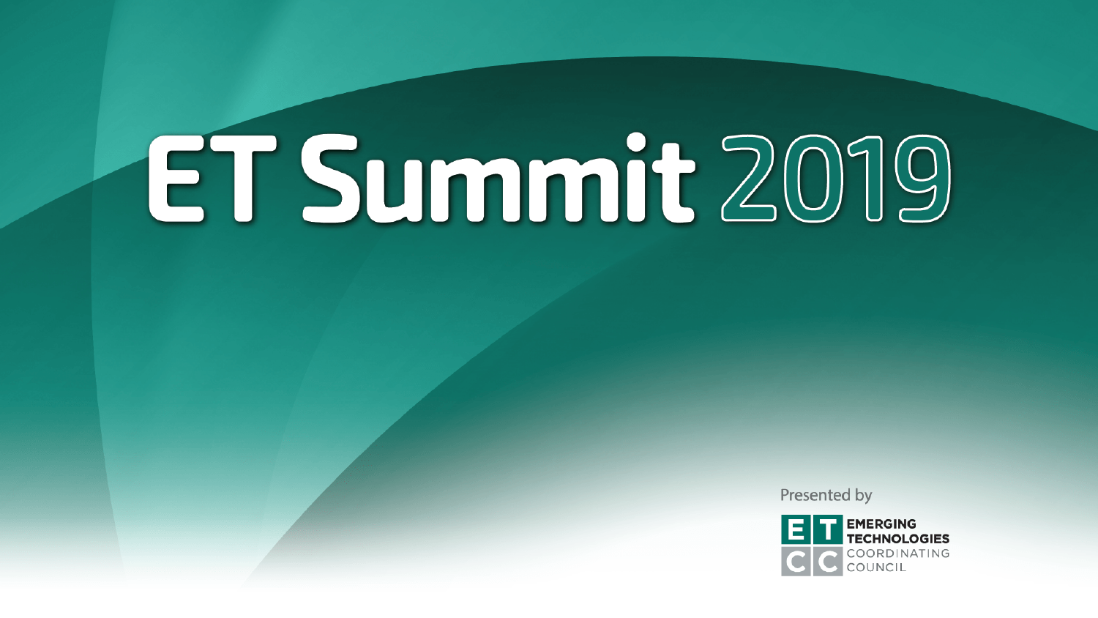# ET Summit 2019

Presented by

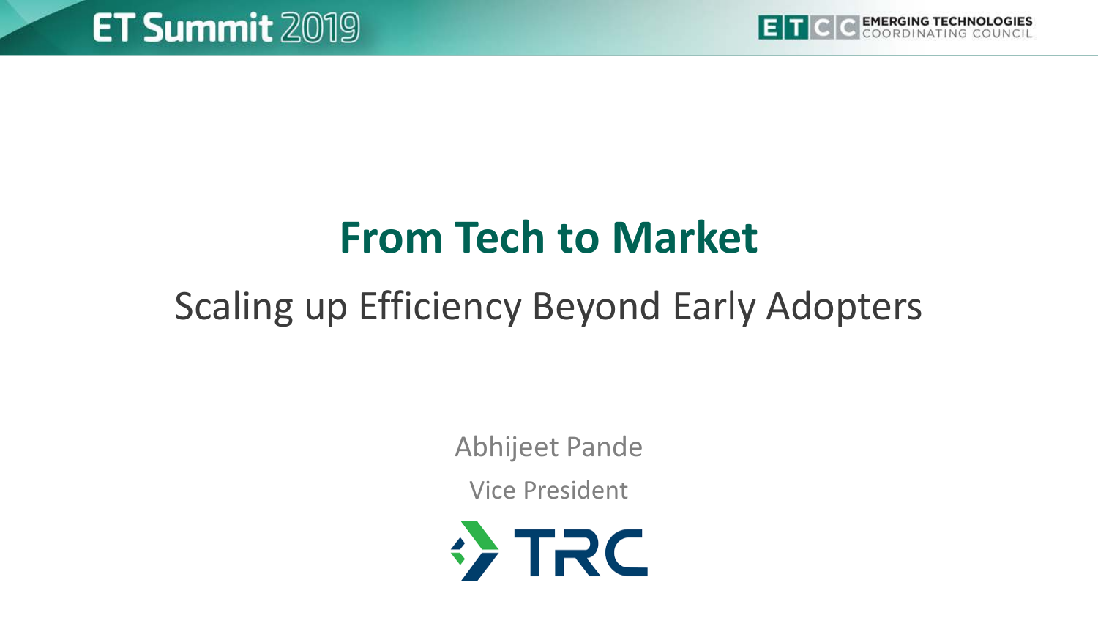

## **From Tech to Market**

## Scaling up Efficiency Beyond Early Adopters

Abhijeet Pande

Vice President

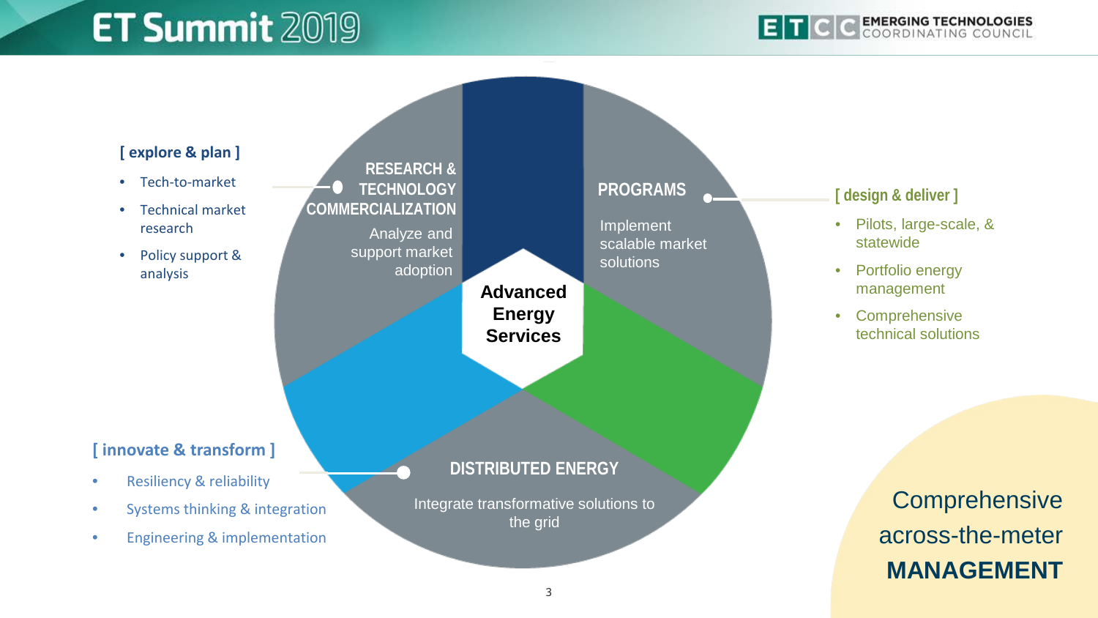## **ET Summit 2019**

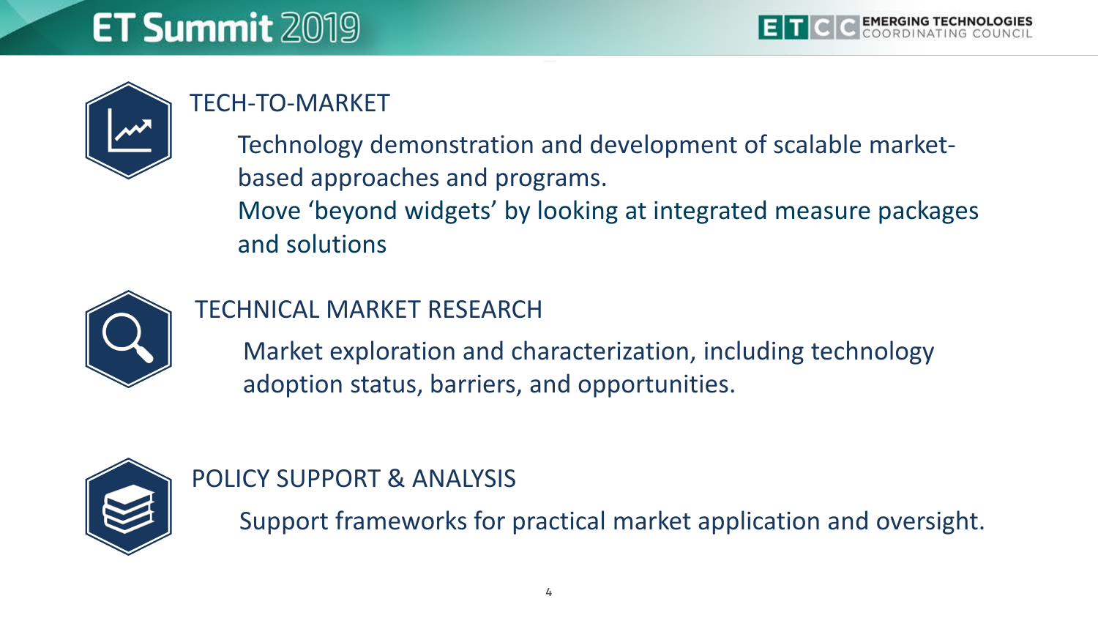

### TECH-TO-MARKET

Technology demonstration and development of scalable marketbased approaches and programs. Move 'beyond widgets' by looking at integrated measure packages and solutions



#### TECHNICAL MARKET RESEARCH

Market exploration and characterization, including technology adoption status, barriers, and opportunities.



POLICY SUPPORT & ANALYSIS

Support frameworks for practical market application and oversight.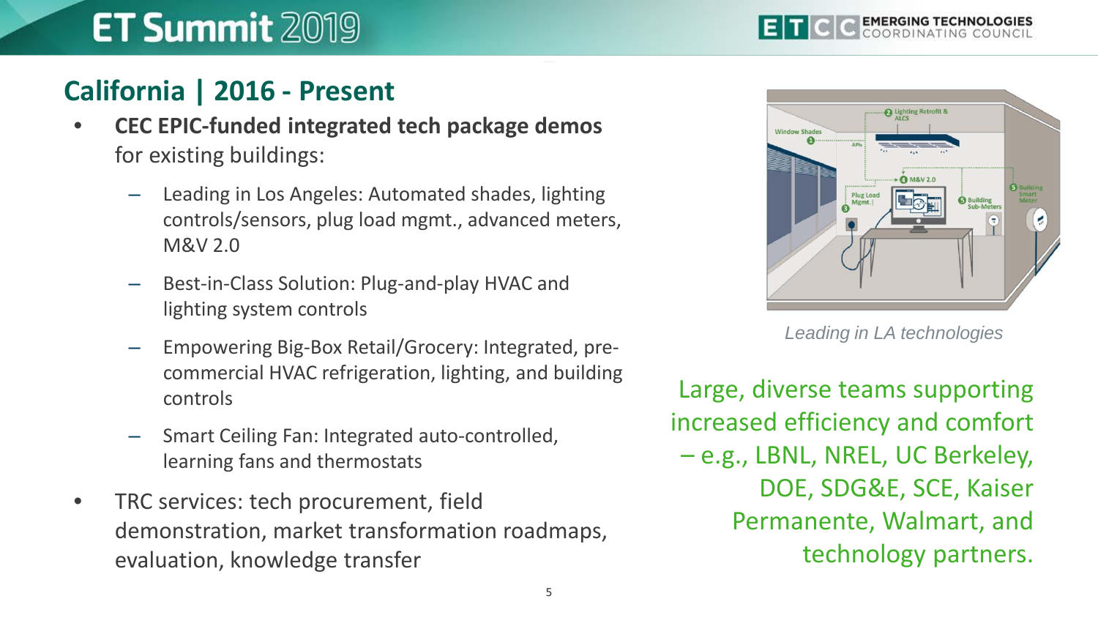## **ET Summit 2019**



#### **California | 2016 - Present**

- **CEC EPIC-funded integrated tech package demos**  for existing buildings:
	- Leading in Los Angeles: Automated shades, lighting controls/sensors, plug load mgmt., advanced meters, M&V 2.0
	- Best-in-Class Solution: Plug-and-play HVAC and lighting system controls
	- Empowering Big-Box Retail/Grocery: Integrated, precommercial HVAC refrigeration, lighting, and building controls
	- Smart Ceiling Fan: Integrated auto-controlled, learning fans and thermostats
- TRC services: tech procurement, field demonstration, market transformation roadmaps, evaluation, knowledge transfer



*Leading in LA technologies*

Large, diverse teams supporting increased efficiency and comfort – e.g., LBNL, NREL, UC Berkeley, DOE, SDG&E, SCE, Kaiser Permanente, Walmart, and technology partners.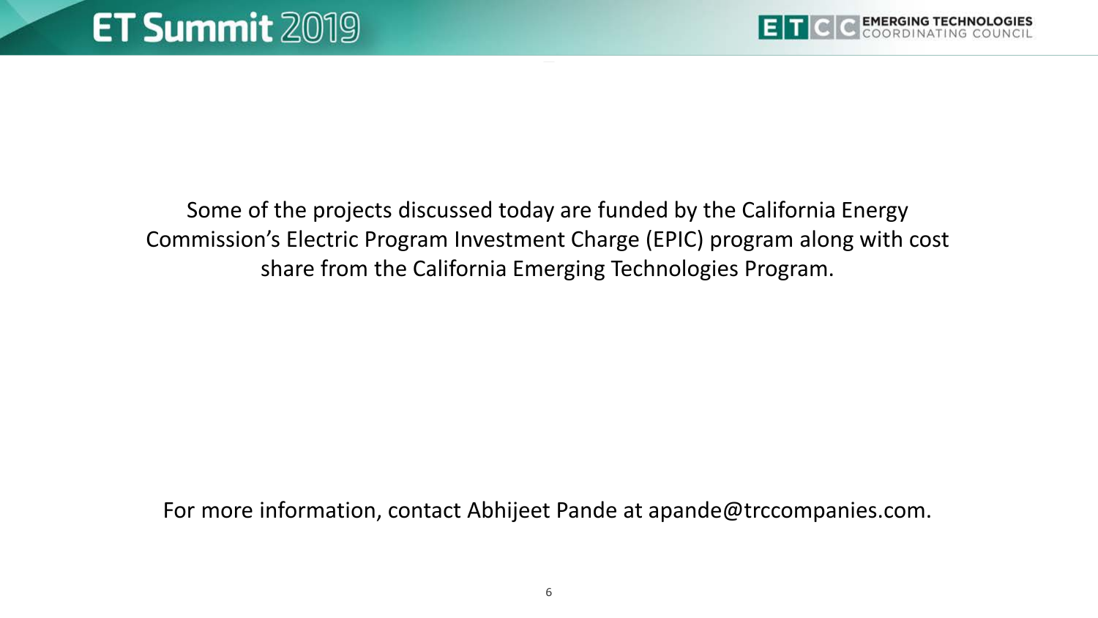

Some of the projects discussed today are funded by the California Energy Commission's Electric Program Investment Charge (EPIC) program along with cost share from the California Emerging Technologies Program.

For more information, contact Abhijeet Pande at apande@trccompanies.com.